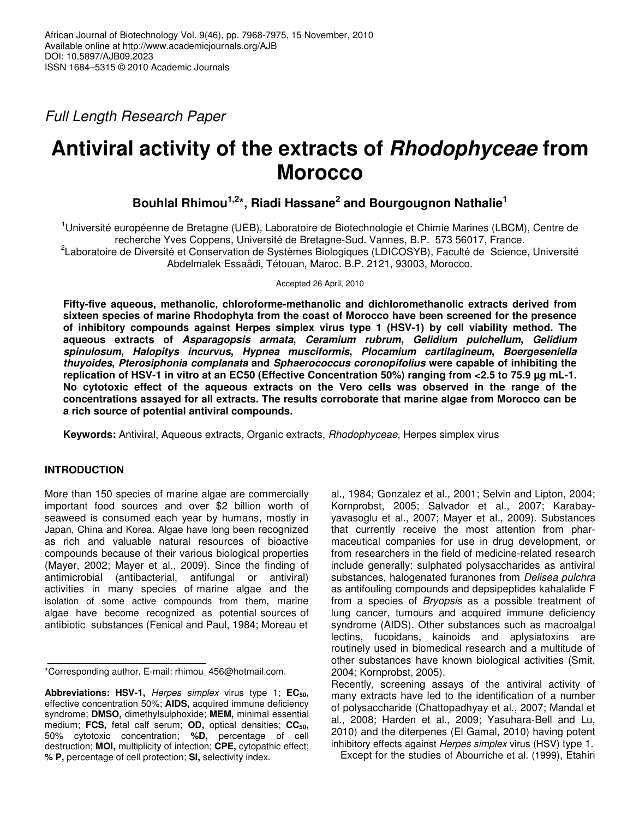*Full Length Research Paper*

# **Antiviral activity of the extracts of** *Rhodophyceae* **from Morocco**

# **Bouhlal Rhimou 1,2 \*, Riadi Hassane 2 and Bourgougnon Nathalie 1**

<sup>1</sup>Université européenne de Bretagne (UEB), Laboratoire de Biotechnologie et Chimie Marines (LBCM), Centre de recherche Yves Coppens, Université de Bretagne-Sud. Vannes, B.P. 573 56017, France.

<sup>2</sup>Laboratoire de Diversité et Conservation de Systèmes Biologiques (LDICOSYB), Faculté de Science, Université Abdelmalek Essaâdi, Tétouan, Maroc. B.P. 2121, 93003, Morocco.

Accepted 26 April, 2010

**Fifty-five aqueous, methanolic, chloroforme-methanolic and dichloromethanolic extracts derived from sixteen species of marine Rhodophyta from the coast of Morocco have been screened for the presence of inhibitory compounds against Herpes simplex virus type 1 (HSV-1) by cell viability method. The aqueous extracts of** *Asparagopsis armata***,** *Ceramium rubrum***,** *Gelidium pulchellum***,** *Gelidium spinulosum***,** *Halopitys incurvus***,** *Hypnea musciformis***,** *Plocamium cartilagineum***,** *Boergeseniella thuyoides***,** *Pterosiphonia complanata* **and** *Sphaerococcus coronopifolius* **were capable of inhibiting the** replication of HSV-1 in vitro at an EC50 (Effective Concentration 50%) ranging from <2.5 to 75.9 µg mL-1. **No cytotoxic effect of the aqueous extracts on the Vero cells was observed in the range of the concentrations assayed for all extracts. The results corroborate that marine algae from Morocco can be a rich source of potential antiviral compounds.**

**Keywords:** Antiviral, Aqueous extracts, Organic extracts, *Rhodophyceae*, Herpes simplex virus

# **INTRODUCTION**

More than 150 species of marine algae are commercially important food sources and over \$2 billion worth of seaweed is consumed each year by humans, mostly in Japan, China and Korea. Algae have long been recognized as rich and valuable natural resources of bioactive compounds because of their various biological properties (Mayer, 2002; Mayer et al., 2009). Since the finding of antimicrobial (antibacterial, antifungal or antiviral) activities in many species of marine algae and the isolation of some active compounds from them, marine algae have become recognized as potential sources of antibiotic substances (Fenical and Paul, 1984; Moreau et

**Abbreviations: HSV-1,** *Herpes simplex* virus type 1; **EC50,** effective concentration 50%; **AIDS,** acquired immune deficiency syndrome; **DMSO,** dimethylsulphoxide; **MEM,** minimal essential medium; **FCS,** fetal calf serum; **OD,** optical densities; **CC50,** 50% cytotoxic concentration; **%D,** percentage of cell destruction; **MOI,** multiplicity of infection; **CPE,** cytopathic effect; **% P,** percentage of cell protection; **SI,** selectivity index.

al., 1984; Gonzalez et al., 2001; Selvin and Lipton, 2004; Kornprobst, 2005; Salvador et al., 2007; Karabayyavasoglu et al., 2007; Mayer et al*.*, 2009). Substances that currently receive the most attention from pharmaceutical companies for use in drug development, or from researchers in the field of medicine-related research include generally: sulphated polysaccharides as antiviral substances, halogenated furanones from *Delisea pulchra* as antifouling compounds and depsipeptides kahalalide F from a species of *Bryopsis* as a possible treatment of lung cancer, tumours and acquired immune deficiency syndrome (AIDS). Other substances such as macroalgal lectins, fucoidans, kainoids and aplysiatoxins are routinely used in biomedical research and a multitude of other substances have known biological activities (Smit, 2004; Kornprobst, 2005).

Recently, screening assays of the antiviral activity of many extracts have led to the identification of a number of polysaccharide (Chattopadhyay et al., 2007; Mandal et al., 2008; Harden et al., 2009; Yasuhara-Bell and Lu, 2010) and the diterpenes (El Gamal, 2010) having potent inhibitory effects against *Herpes simplex* virus (HSV) type 1.

Except for the studies of Abourriche et al*.* (1999), Etahiri

<sup>\*</sup>Corresponding author. E-mail: rhimou\_456@hotmail.com.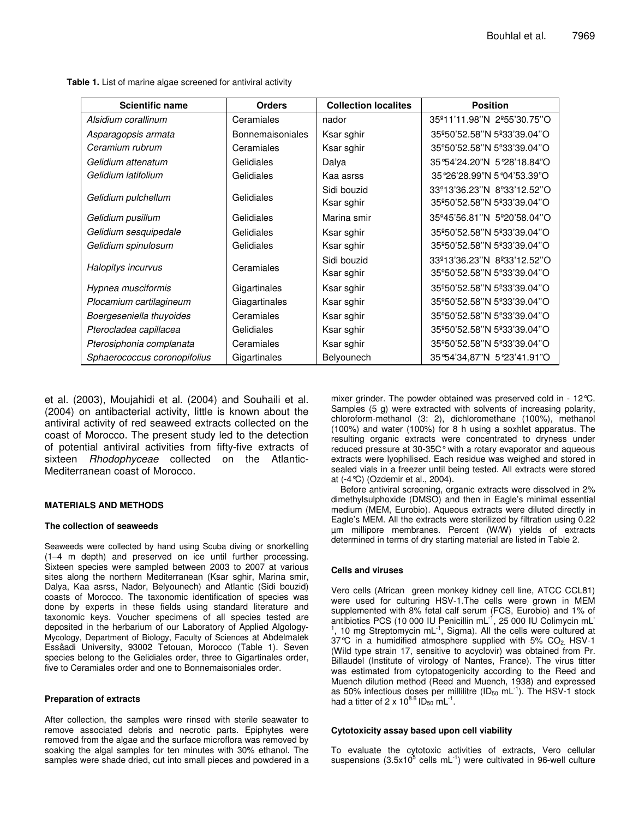**Table 1.** List of marine algae screened for antiviral activity

| <b>Scientific name</b>       | <b>Orders</b>           | <b>Collection localites</b> | <b>Position</b>            |  |  |
|------------------------------|-------------------------|-----------------------------|----------------------------|--|--|
| Alsidium corallinum          | Ceramiales              | nador                       | 35°11'11.98"N 2º55'30.75"O |  |  |
| Asparagopsis armata          | <b>Bonnemaisoniales</b> | Ksar sghir                  | 35°50'52.58"N 5°33'39.04"O |  |  |
| Ceramium rubrum              | Ceramiales              | Ksar sghir                  | 35º50'52.58"N 5º33'39.04"O |  |  |
| Gelidium attenatum           | Gelidiales              | Dalya                       | 35°54'24.20"N 5°28'18.84"O |  |  |
| Gelidium latifolium          | Gelidiales              | Kaa asrss                   | 35°26'28.99"N 5°04'53.39"O |  |  |
| Gelidium pulchellum          | Gelidiales              | Sidi bouzid                 | 33º13'36.23"N 8º33'12.52"O |  |  |
|                              |                         | Ksar sghir                  | 35°50'52.58"N 5°33'39.04"O |  |  |
| Gelidium pusillum            | Gelidiales              | Marina smir                 | 35°45'56.81"N 5°20'58.04"O |  |  |
| Gelidium sesquipedale        | Gelidiales              | Ksar sghir                  | 35º50'52.58"N 5º33'39.04"O |  |  |
| Gelidium spinulosum          | Gelidiales              | Ksar sghir                  | 35º50'52.58"N 5º33'39.04"O |  |  |
| Halopitys incurvus           | Ceramiales              | Sidi bouzid                 | 33º13'36.23"N 8º33'12.52"O |  |  |
|                              |                         | Ksar sghir                  | 35°50'52.58"N 5°33'39.04"O |  |  |
| Hypnea musciformis           | Gigartinales            | Ksar sghir                  | 35º50'52.58"N 5º33'39.04"O |  |  |
| Plocamium cartilagineum      | Giagartinales           | Ksar sghir                  | 35°50'52.58"N 5°33'39.04"O |  |  |
| Boergeseniella thuyoides     | Ceramiales              | Ksar sghir                  | 35°50'52.58"N 5°33'39.04"O |  |  |
| Pterocladea capillacea       | Gelidiales              | Ksar sghir                  | 35°50'52.58"N 5°33'39.04"O |  |  |
| Pterosiphonia complanata     | Ceramiales              | Ksar sghir                  | 35°50'52.58"N 5°33'39.04"O |  |  |
| Sphaerococcus coronopifolius | Gigartinales            | Belyounech                  | 35°54'34,87"N 5°23'41.91"O |  |  |

et al. (2003), Moujahidi et al. (2004) and Souhaili et al. (2004) on antibacterial activity, little is known about the antiviral activity of red seaweed extracts collected on the coast of Morocco. The present study led to the detection of potential antiviral activities from fifty-five extracts of sixteen *Rhodophyceae* collected on the Atlantic-Mediterranean coast of Morocco.

#### **MATERIALS AND METHODS**

#### **The collection of seaweeds**

Seaweeds were collected by hand using Scuba diving or snorkelling (1–4 m depth) and preserved on ice until further processing. Sixteen species were sampled between 2003 to 2007 at various sites along the northern Mediterranean (Ksar sghir, Marina smir, Dalya, Kaa asrss, Nador, Belyounech) and Atlantic (Sidi bouzid) coasts of Morocco. The taxonomic identification of species was done by experts in these fields using standard literature and taxonomic keys. Voucher specimens of all species tested are deposited in the herbarium of our Laboratory of Applied Algology-Mycology, Department of Biology, Faculty of Sciences at Abdelmalek Essâadi University, 93002 Tetouan, Morocco (Table 1). Seven species belong to the Gelidiales order, three to Gigartinales order, five to Ceramiales order and one to Bonnemaisoniales order.

#### **Preparation of extracts**

After collection, the samples were rinsed with sterile seawater to remove associated debris and necrotic parts. Epiphytes were removed from the algae and the surface microflora was removed by soaking the algal samples for ten minutes with 30% ethanol. The samples were shade dried, cut into small pieces and powdered in a

mixer grinder. The powder obtained was preserved cold in - 12°C. Samples (5 g) were extracted with solvents of increasing polarity, chloroform-methanol (3: 2), dichloromethane (100%), methanol (100%) and water (100%) for 8 h using a soxhlet apparatus. The resulting organic extracts were concentrated to dryness under reduced pressure at 30-35C°with a rotary evaporator and aqueous extracts were lyophilised. Each residue was weighed and stored in sealed vials in a freezer until being tested. All extracts were stored at (-4°C) (Ozdemir et al., 2004).

Before antiviral screening, organic extracts were dissolved in 2% dimethylsulphoxide (DMSO) and then in Eagle's minimal essential medium (MEM, Eurobio). Aqueous extracts were diluted directly in Eagle's MEM. All the extracts were sterilized by filtration using 0.22 µm millipore membranes. Percent (W/W) yields of extracts determined in terms of dry starting material are listed in Table 2.

#### **Cells and viruses**

Vero cells (African green monkey kidney cell line, ATCC CCL81) were used for culturing HSV-1.The cells were grown in MEM supplemented with 8% fetal calf serum (FCS, Eurobio) and 1% of antibiotics PCS (10 000 IU Penicillin mL<sup>-1</sup>, 25 000 IU Colimycin mL<sup>-</sup> <sup>1</sup>, 10 mg Streptomycin mL<sup>-1</sup>, Sigma). All the cells were cultured at 37°C in a humidified atmosphere supplied with 5% CO2. HSV-1 (Wild type strain 17, sensitive to acyclovir) was obtained from Pr. Billaudel (Institute of virology of Nantes, France). The virus titter was estimated from cytopatogenicity according to the Reed and Muench dilution method (Reed and Muench, 1938) and expressed as 50% infectious doses per millilitre (ID<sub>50</sub> mL<sup>-1</sup>). The HSV-1 stock had a titter of 2 x  $10^{8.6}$  ID<sub>50</sub> mL<sup>-1</sup>.

#### **Cytotoxicity assay based upon cell viability**

To evaluate the cytotoxic activities of extracts, Vero cellular suspensions (3.5x10<sup>5</sup> cells mL<sup>-1</sup>) were cultivated in 96-well culture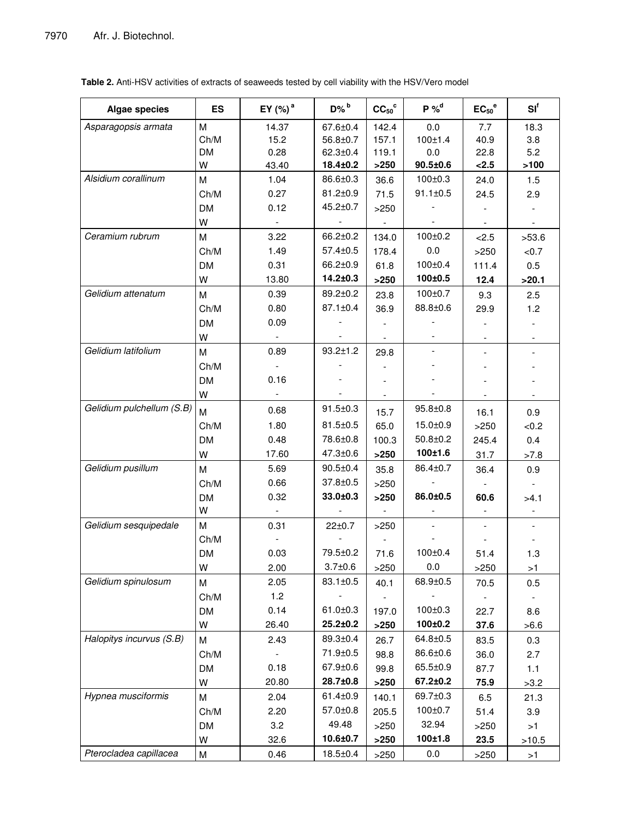| Algae species             | <b>ES</b> | EY (%) <sup>a</sup>      | $D\%$ <sup>b</sup> | $CC50$ °                 | $P \%$ <sup>d</sup> | $EC_{50}^{\circ}$        | $SI^f$         |
|---------------------------|-----------|--------------------------|--------------------|--------------------------|---------------------|--------------------------|----------------|
| Asparagopsis armata       | M         | 14.37                    | 67.6±0.4           | 142.4                    | 0.0                 | 7.7                      | 18.3           |
|                           | Ch/M      | 15.2                     | 56.8±0.7           | 157.1                    | 100±1.4             | 40.9                     | 3.8            |
|                           | <b>DM</b> | 0.28                     | $62.3 \pm 0.4$     | 119.1                    | 0.0                 | 22.8                     | 5.2            |
|                           | w         | 43.40                    | 18.4±0.2           | >250                     | $90.5 \pm 0.6$      | < 2.5                    | >100           |
| Alsidium corallinum       | M         | 1.04                     | 86.6±0.3           | 36.6                     | $100 \pm 0.3$       | 24.0                     | 1.5            |
|                           | Ch/M      | 0.27                     | $81.2 \pm 0.9$     | 71.5                     | $91.1 \pm 0.5$      | 24.5                     | 2.9            |
|                           | <b>DM</b> | 0.12                     | $45.2 \pm 0.7$     | >250                     |                     |                          |                |
|                           | W         | $\overline{\phantom{a}}$ |                    | $\overline{\phantom{a}}$ |                     | $\blacksquare$           | $\blacksquare$ |
| Ceramium rubrum           | M         | 3.22                     | 66.2±0.2           | 134.0                    | $100 \pm 0.2$       | < 2.5                    | >53.6          |
|                           | Ch/M      | 1.49                     | $57.4 \pm 0.5$     | 178.4                    | 0.0                 | >250                     | < 0.7          |
|                           | DM        | 0.31                     | 66.2±0.9           | 61.8                     | $100 \pm 0.4$       | 111.4                    | 0.5            |
|                           | W         | 13.80                    | 14.2±0.3           | $>250$                   | 100±0.5             | 12.4                     | >20.1          |
| Gelidium attenatum        | M         | 0.39                     | 89.2±0.2           | 23.8                     | $100 \pm 0.7$       | 9.3                      | 2.5            |
|                           | Ch/M      | 0.80                     | $87.1 \pm 0.4$     | 36.9                     | 88.8±0.6            | 29.9                     | 1.2            |
|                           | <b>DM</b> | 0.09                     |                    |                          |                     |                          |                |
|                           | W         |                          |                    |                          |                     | $\overline{\phantom{a}}$ |                |
| Gelidium latifolium       | M         | 0.89                     | $93.2 \pm 1.2$     | 29.8                     |                     |                          |                |
|                           | Ch/M      | $\blacksquare$           |                    |                          |                     |                          |                |
|                           | <b>DM</b> | 0.16                     |                    |                          |                     |                          |                |
|                           | W         |                          |                    |                          |                     |                          |                |
| Gelidium pulchellum (S.B) | м         | 0.68                     | $91.5 \pm 0.3$     | 15.7                     | $95.8 \pm 0.8$      | 16.1                     | 0.9            |
|                           | Ch/M      | 1.80                     | $81.5 \pm 0.5$     | 65.0                     | 15.0±0.9            | >250                     | <0.2           |
|                           | <b>DM</b> | 0.48                     | 78.6±0.8           | 100.3                    | $50.8 + 0.2$        | 245.4                    | 0.4            |
|                           | W         | 17.60                    | $47.3 \pm 0.6$     | $>250$                   | 100±1.6             | 31.7                     | >7.8           |
| Gelidium pusillum         | M         | 5.69                     | $90.5 \pm 0.4$     | 35.8                     | 86.4±0.7            | 36.4                     | 0.9            |
|                           | Ch/M      | 0.66                     | 37.8±0.5           | >250                     |                     | $\mathbf{r}$             |                |
|                           | <b>DM</b> | 0.32                     | 33.0±0.3           | $>250$                   | 86.0±0.5            | 60.6                     | >4.1           |
|                           | W         |                          |                    |                          |                     |                          |                |
| Gelidium sesquipedale     | M         | 0.31                     | $22 \pm 0.7$       | $>250$                   |                     |                          |                |
|                           | Ch/M      |                          |                    |                          |                     |                          |                |
|                           | <b>DM</b> | 0.03                     | 79.5±0.2           | 71.6                     | $100 \pm 0.4$       | 51.4                     | 1.3            |
|                           | W         | 2.00                     | $3.7 + 0.6$        | >250                     | 0.0                 | >250                     | >1             |
| Gelidium spinulosum       | M         | 2.05                     | 83.1±0.5           | 40.1                     | 68.9±0.5            | 70.5                     | 0.5            |
|                           | Ch/M      | 1.2                      |                    |                          |                     |                          |                |
|                           | <b>DM</b> | 0.14                     | $61.0 \pm 0.3$     | 197.0                    | $100 \pm 0.3$       | 22.7                     | 8.6            |
|                           | W         | 26.40                    | 25.2±0.2           | >250                     | 100±0.2             | 37.6                     | >6.6           |
| Halopitys incurvus (S.B)  | M         | 2.43                     | 89.3±0.4           | 26.7                     | 64.8±0.5            | 83.5                     | 0.3            |
|                           | Ch/M      |                          | 71.9±0.5           | 98.8                     | 86.6±0.6            | 36.0                     | 2.7            |
|                           | <b>DM</b> | 0.18                     | $67.9 + 0.6$       | 99.8                     | 65.5±0.9            | 87.7                     | $1.1$          |
|                           | W         | 20.80                    | 28.7±0.8           | >250                     | 67.2±0.2            | 75.9                     | >3.2           |
| Hypnea musciformis        | M         | 2.04                     | $61.4 \pm 0.9$     | 140.1                    | 69.7±0.3            | 6.5                      | 21.3           |
|                           | Ch/M      | 2.20                     | $57.0 \pm 0.8$     | 205.5                    | $100 \pm 0.7$       | 51.4                     | 3.9            |
|                           | <b>DM</b> | 3.2                      | 49.48              | >250                     | 32.94               | >250                     | $>1$           |
|                           | W         | 32.6                     | 10.6±0.7           | $>250$                   | 100±1.8             | 23.5                     | >10.5          |
| Pterocladea capillacea    | M         | 0.46                     | $18.5 \pm 0.4$     | >250                     | 0.0                 | >250                     | >1             |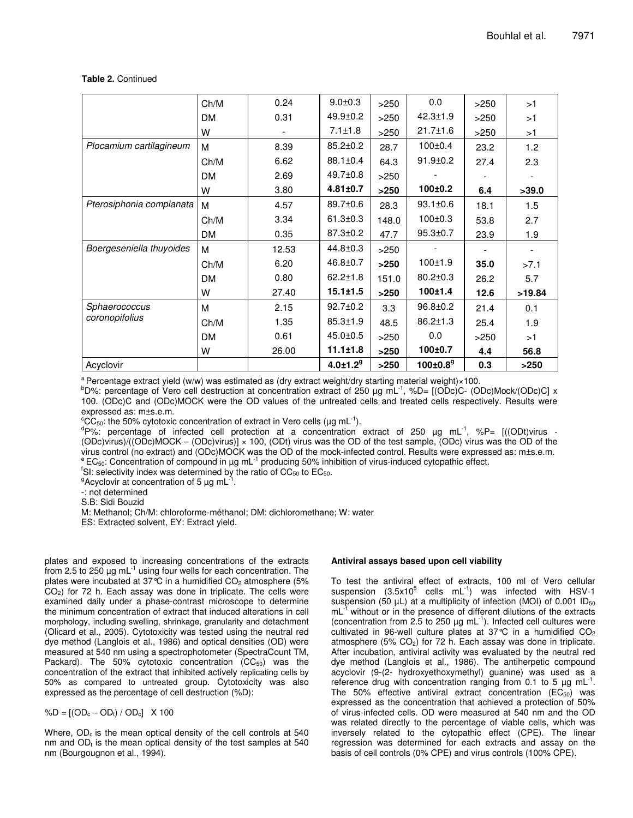#### **Table 2.** Continued

|                                 | Ch/M      | 0.24  | $9.0 + 0.3$                | >250  | 0.0                        | >250 | >1     |
|---------------------------------|-----------|-------|----------------------------|-------|----------------------------|------|--------|
|                                 | <b>DM</b> | 0.31  | $49.9 \pm 0.2$             | >250  | $42.3 \pm 1.9$             | >250 | >1     |
|                                 | W         |       | $7.1 \pm 1.8$              | >250  | $21.7 \pm 1.6$             | >250 | >1     |
| Plocamium cartilagineum         | M         | 8.39  | $85.2 \pm 0.2$             | 28.7  | $100 \pm 0.4$              | 23.2 | 1.2    |
|                                 | Ch/M      | 6.62  | $88.1 \pm 0.4$             | 64.3  | $91.9 \pm 0.2$             | 27.4 | 2.3    |
|                                 | <b>DM</b> | 2.69  | $49.7 \pm 0.8$             | >250  |                            |      |        |
|                                 | W         | 3.80  | $4.81 \pm 0.7$             | >250  | 100±0.2                    | 6.4  | >39.0  |
| Pterosiphonia complanata        | M         | 4.57  | 89.7±0.6                   | 28.3  | $93.1 \pm 0.6$             | 18.1 | 1.5    |
|                                 | Ch/M      | 3.34  | $61.3 \pm 0.3$             | 148.0 | $100 \pm 0.3$              | 53.8 | 2.7    |
|                                 | <b>DM</b> | 0.35  | $87.3 \pm 0.2$             | 47.7  | $95.3 \pm 0.7$             | 23.9 | 1.9    |
| Boergeseniella thuyoides        | M         | 12.53 | $44.8 \pm 0.3$             | >250  |                            |      |        |
|                                 | Ch/M      | 6.20  | 46.8±0.7                   | >250  | 100±1.9                    | 35.0 | >7.1   |
|                                 | <b>DM</b> | 0.80  | $62.2 \pm 1.8$             | 151.0 | $80.2 \pm 0.3$             | 26.2 | 5.7    |
|                                 | W         | 27.40 | $15.1 \pm 1.5$             | >250  | 100±1.4                    | 12.6 | >19.84 |
| Sphaerococcus<br>coronopifolius | M         | 2.15  | $92.7 \pm 0.2$             | 3.3   | $96.8 \pm 0.2$             | 21.4 | 0.1    |
|                                 | Ch/M      | 1.35  | $85.3 \pm 1.9$             | 48.5  | $86.2 \pm 1.3$             | 25.4 | 1.9    |
|                                 | DM        | 0.61  | $45.0 \pm 0.5$             | >250  | 0.0                        | >250 | >1     |
|                                 | w         | 26.00 | $11.1 \pm 1.8$             | >250  | 100±0.7                    | 4.4  | 56.8   |
| Acyclovir                       |           |       | $4.0 \pm 1.2$ <sup>9</sup> | >250  | $100 \pm 0.8$ <sup>g</sup> | 0.3  | >250   |

<sup>a</sup> Percentage extract yield (w/w) was estimated as (dry extract weight/dry starting material weight)×100.

bD%: percentage of Vero cell destruction at concentration extract of 250 µg mL<sup>-1</sup>, %D= [(ODc)C- (ODc)Mock/(ODc)C] x 100. (ODc)C and (ODc)MOCK were the OD values of the untreated cells and treated cells respectively. Results were expressed as: m±s.e.m.

°CC<sub>50</sub>: the 50% cytotoxic concentration of extract in Vero cells (µg mL<sup>-1</sup>).

<sup>d</sup>P%: percentage of infected cell protection at a concentration extract of 250 μg mL<sup>-1</sup>, %P= [((ODt)virus -(ODc)virus)/((ODc)MOCK – (ODc)virus)] × 100, (ODt) virus was the OD of the test sample, (ODc) virus was the OD of the virus control (no extract) and (ODc)MOCK was the OD of the mock-infected control. Results were expressed as: m±s.e.m.  $e^e$  EC<sub>50</sub>: Concentration of compound in µg mL<sup>-1</sup> producing 50% inhibition of virus-induced cytopathic effect.

<sup>f</sup>SI: selectivity index was determined by the ratio of  $CC_{50}$  to  $EC_{50}$ .

<sup>9</sup>Acyclovir at concentration of 5  $\mu$ g mL<sup>-1</sup>.

-: not determined

S.B: Sidi Bouzid

M: Methanol; Ch/M: chloroforme-méthanol; DM: dichloromethane; W: water

ES: Extracted solvent, EY: Extract yield.

plates and exposed to increasing concentrations of the extracts .<br>from 2.5 to 250 μg mL<sup>-1</sup> using four wells for each concentration. The plates were incubated at  $37^{\circ}$ C in a humidified CO<sub>2</sub> atmosphere (5%) CO2) for 72 h. Each assay was done in triplicate. The cells were examined daily under a phase-contrast microscope to determine the minimum concentration of extract that induced alterations in cell morphology, including swelling, shrinkage, granularity and detachment (Olicard et al., 2005). Cytotoxicity was tested using the neutral red dye method (Langlois et al., 1986) and optical densities (OD) were measured at 540 nm using a spectrophotometer (SpectraCount TM, Packard). The 50% cytotoxic concentration  $(CC_{50})$  was the concentration of the extract that inhibited actively replicating cells by 50% as compared to untreated group. Cytotoxicity was also expressed as the percentage of cell destruction (%D):

%D =  $[(OD_c - OD_t) / OD_c]$  X 100

Where,  $OD<sub>c</sub>$  is the mean optical density of the cell controls at 540 nm and  $OD<sub>t</sub>$  is the mean optical density of the test samples at 540 nm (Bourgougnon et al., 1994).

#### **Antiviral assays based upon cell viability**

To test the antiviral effect of extracts, 100 ml of Vero cellular suspension  $(3.5x10^5$  cells mL $^{-1})$  was infected with HSV-1 suspension (50  $\mu$ L) at a multiplicity of infection (MOI) of 0.001 ID<sub>50</sub> mL<sup>-1</sup> without or in the presence of different dilutions of the extracts (concentration from 2.5 to 250  $\mu$ g mL<sup>-1</sup>). Infected cell cultures were cultivated in 96-well culture plates at 37 $\degree$ C in a humidified CO<sub>2</sub> atmosphere  $(5\%$  CO<sub>2</sub>) for 72 h. Each assay was done in triplicate. After incubation, antiviral activity was evaluated by the neutral red dye method (Langlois et al., 1986). The antiherpetic compound acyclovir (9-(2- hydroxyethoxymethyl) guanine) was used as a reference drug with concentration ranging from 0.1 to 5  $\mu$ g mL<sup>-1</sup>. The 50% effective antiviral extract concentration  $(EC_{50})$  was expressed as the concentration that achieved a protection of 50% of virus-infected cells. OD were measured at 540 nm and the OD was related directly to the percentage of viable cells, which was inversely related to the cytopathic effect (CPE). The linear regression was determined for each extracts and assay on the basis of cell controls (0% CPE) and virus controls (100% CPE).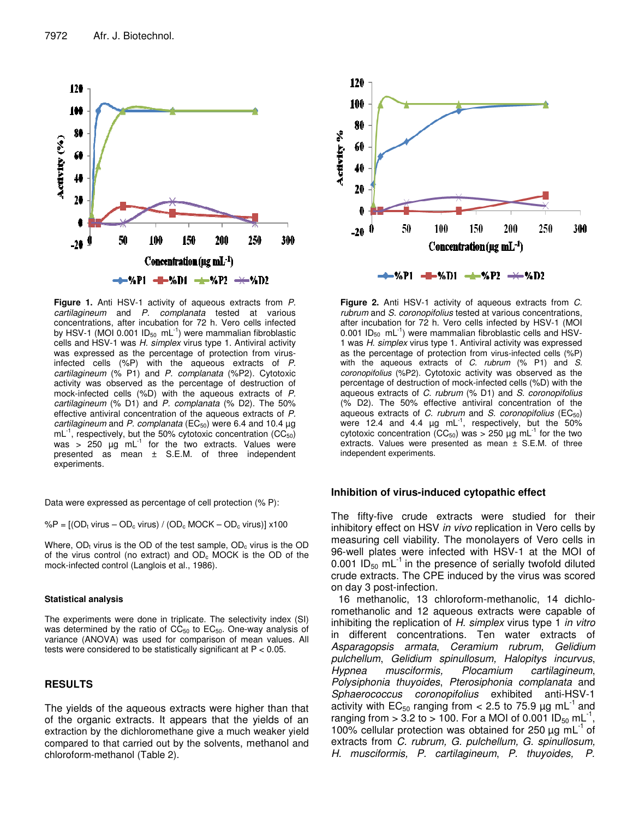

**Figure 1.** Anti HSV-1 activity of aqueous extracts from *P. cartilagineum* and *P. complanata* tested at various concentrations, after incubation for 72 h. Vero cells infected by HSV-1 (MOI 0.001 ID<sub>50</sub> mL $^{-1}$ ) were mammalian fibroblastic cells and HSV-1 was *H. simplex* virus type 1. Antiviral activity was expressed as the percentage of protection from virusinfected cells (%P) with the aqueous extracts of *P. cartilagineum* (% P1) and *P. complanata* (%P2). Cytotoxic activity was observed as the percentage of destruction of mock-infected cells (%D) with the aqueous extracts of *P. cartilagineum* (% D1) and *P. complanata* (% D2). The 50% effective antiviral concentration of the aqueous extracts of *P. cartilagineum* and *P. complanata* (EC<sub>50</sub>) were 6.4 and 10.4 μg  $mL^{-1}$ , respectively, but the 50% cytotoxic concentration (CC<sub>50</sub>) was > 250  $\mu$ g mL<sup>-1</sup> for the two extracts. Values were presented as mean ± S.E.M. of three independent experiments.

Data were expressed as percentage of cell protection (% P):

 $\%P = [(OD_t \text{ virus} - OD_c \text{ virus}) / (OD_c \text{ MOCK} - OD_c \text{ virus})] \times 100$ 

Where,  $OD<sub>t</sub>$  virus is the OD of the test sample,  $OD<sub>c</sub>$  virus is the OD of the virus control (no extract) and  $OD<sub>c</sub>$  MOCK is the OD of the mock-infected control (Langlois et al., 1986).

#### **Statistical analysis**

The experiments were done in triplicate. The selectivity index (SI) was determined by the ratio of  $CC_{50}$  to  $EC_{50}$ . One-way analysis of variance (ANOVA) was used for comparison of mean values. All tests were considered to be statistically significant at P < 0.05.

## **RESULTS**

The yields of the aqueous extracts were higher than that of the organic extracts. It appears that the yields of an extraction by the dichloromethane give a much weaker yield compared to that carried out by the solvents, methanol and chloroform-methanol (Table 2).



**Figure 2.** Anti HSV-1 activity of aqueous extracts from *C. rubrum* and *S. coronopifolius* tested at various concentrations, after incubation for 72 h. Vero cells infected by HSV-1 (MOI 0.001  $ID_{50}$  mL $^{-1}$ ) were mammalian fibroblastic cells and HSV-1 was *H. simplex* virus type 1. Antiviral activity was expressed as the percentage of protection from virus-infected cells (%P) with the aqueous extracts of *C. rubrum* (% P1) and *S. coronopifolius* (%P2). Cytotoxic activity was observed as the percentage of destruction of mock-infected cells (%D) with the aqueous extracts of *C. rubrum* (% D1) and *S. coronopifolius* (% D2). The 50% effective antiviral concentration of the aqueous extracts of *C. rubrum* and *S. coronopifolius* (EC50) were 12.4 and 4.4  $\mu$ g mL $^{-1}$ , respectively, but the 50% cytotoxic concentration (CC<sub>50</sub>) was > 250 µg mL<sup>-1</sup> for the two extracts. Values were presented as mean ± S.E.M. of three independent experiments.

#### **Inhibition of virus-induced cytopathic effect**

The fifty-five crude extracts were studied for their inhibitory effect on HSV *in vivo* replication in Vero cells by measuring cell viability. The monolayers of Vero cells in 96-well plates were infected with HSV-1 at the MOI of 0.001 ID<sub>50</sub> mL<sup>-1</sup> in the presence of serially twofold diluted crude extracts. The CPE induced by the virus was scored on day 3 post-infection.

16 methanolic, 13 chloroform-methanolic, 14 dichloromethanolic and 12 aqueous extracts were capable of inhibiting the replication of *H. simplex* virus type 1 *in vitro* in different concentrations. Ten water extracts of *Asparagopsis armata*, *Ceramium rubrum*, *Gelidium pulchellum*, *Gelidium spinullosum, Halopitys incurvus*, *Hypnea musciformis, Plocamium cartilagineum*, *Polysiphonia thuyoides*, *Pterosiphonia complanata* and *Sphaerococcus coronopifolius* exhibited anti-HSV-1 activity with  $EC_{50}$  ranging from < 2.5 to 75.9  $\mu$ g mL<sup>-1</sup> and ranging from > 3.2 to > 100. For a MOI of 0.001  $ID_{50}$  mL<sup>-1</sup>, 100% cellular protection was obtained for 250  $\mu$ g mL<sup>-1</sup> of extracts from *C. rubrum, G. pulchellum, G. spinullosum, H. musciformis, P. cartilagineum*, *P. thuyoides, P.*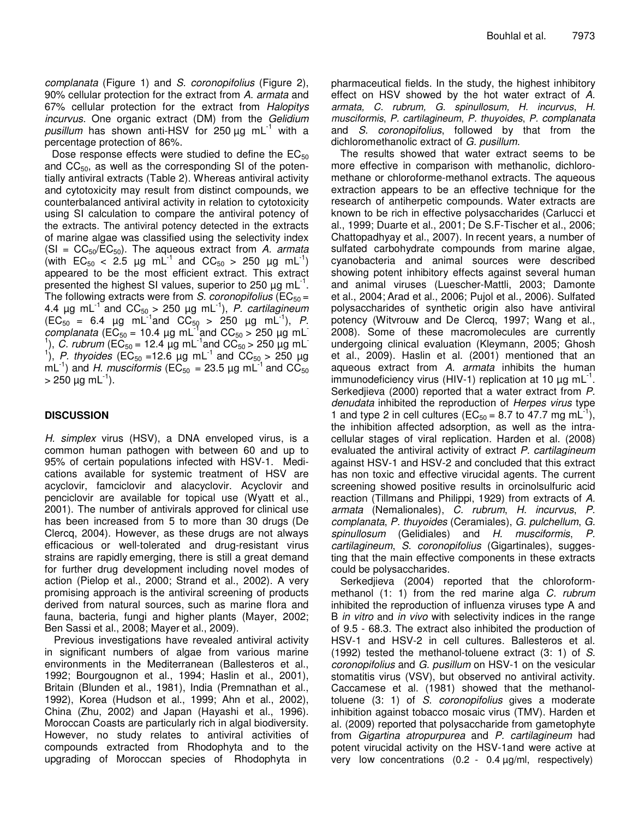*complanata* (Figure 1) and *S. coronopifolius* (Figure 2), 90% cellular protection for the extract from *A. armata* and 67% cellular protection for the extract from *Halopitys incurvus*. One organic extract (DM) from the *Gelidium pusillum* has shown anti-HSV for 250 µg mL -1 with a percentage protection of 86%.

Dose response effects were studied to define the  $EC_{50}$ and  $CC_{50}$ , as well as the corresponding SI of the potentially antiviral extracts (Table 2). Whereas antiviral activity and cytotoxicity may result from distinct compounds, we counterbalanced antiviral activity in relation to cytotoxicity using SI calculation to compare the antiviral potency of the extracts. The antiviral potency detected in the extracts of marine algae was classified using the selectivity index (SI = CC50/EC50). The aqueous extract from *A. armata* (with  $EC_{50} < 2.5$  µg mL<sup>-1</sup> and  $CC_{50} > 250$  µg mL<sup>-1</sup>) appeared to be the most efficient extract. This extract presented the highest SI values, superior to 250  $\mu$ g mL<sup>-1</sup>. The following extracts were from *S. coronopifolius* ( $EC_{50} =$ 4.4 µg mL -1 and CC<sup>50</sup> > 250 µg mL -1 ), *P. cartilagineum*  $(EC_{50} = 6.4 \text{ µg} \text{ mL}^{-1}$  and  $CC_{50} > 250 \text{ µg} \text{ mL}^{-1}$ ), *P.*  $\mu_{\rm{c}}$  *complanata* (EC<sub>50</sub> = 10.4  $\mu$ g mL<sup>-1</sup> and CC<sub>50</sub> > 250  $\mu$ g mL<sup>-1</sup> <sup>1</sup>), *C. rubrum* (EC<sub>50</sub> = 12.4  $\mu$ g mL<sup>-1</sup> and CC<sub>50</sub> > 250  $\mu$ g mL<sup>-1</sup> <sup>1</sup>), *P. thyoides* (EC<sub>50</sub> = 12.6 µg mL<sup>-1</sup> and CC<sub>50</sub> > 250 µg mL<sup>-1</sup>) and *H. musciformis* (EC<sub>50</sub> = 23.5 µg mL<sup>-1</sup> and CC<sub>50</sub>  $>$  250 µg mL<sup>-1</sup>).

# **DISCUSSION**

*H. simplex* virus (HSV), a DNA enveloped virus, is a common human pathogen with between 60 and up to 95% of certain populations infected with HSV-1. Medications available for systemic treatment of HSV are acyclovir, famciclovir and alacyclovir. Acyclovir and penciclovir are available for topical use (Wyatt et al*.*, 2001). The number of antivirals approved for clinical use has been increased from 5 to more than 30 drugs (De Clercq, 2004). However, as these drugs are not always efficacious or well-tolerated and drug-resistant virus strains are rapidly emerging, there is still a great demand for further drug development including novel modes of action (Pielop et al., 2000; Strand et al., 2002). A very promising approach is the antiviral screening of products derived from natural sources, such as marine flora and fauna, bacteria, fungi and higher plants (Mayer, 2002; Ben Sassi et al., 2008; Mayer et al., 2009).

Previous investigations have revealed antiviral activity in significant numbers of algae from various marine environments in the Mediterranean (Ballesteros et al., 1992; Bourgougnon et al., 1994; Haslin et al., 2001), Britain (Blunden et al., 1981), India (Premnathan et al., 1992), Korea (Hudson et al., 1999; Ahn et al., 2002), China (Zhu, 2002) and Japan (Hayashi et al., 1996). Moroccan Coasts are particularly rich in algal biodiversity. However, no study relates to antiviral activities of compounds extracted from Rhodophyta and to the upgrading of Moroccan species of Rhodophyta in

pharmaceutical fields. In the study, the highest inhibitory effect on HSV showed by the hot water extract of *A. armata, C. rubrum, G. spinullosum, H. incurvus*, *H. musciformis*, *P. cartilagineum*, *P. thuyoides*, *P. complanata* and *S. coronopifolius*, followed by that from the dichloromethanolic extract of *G. pusillum.*

The results showed that water extract seems to be more effective in comparison with methanolic, dichloromethane or chloroforme-methanol extracts. The aqueous extraction appears to be an effective technique for the research of antiherpetic compounds. Water extracts are known to be rich in effective polysaccharides (Carlucci et al., 1999; Duarte et al., 2001; De S.F-Tischer et al., 2006; Chattopadhyay et al., 2007). In recent years, a number of sulfated carbohydrate compounds from marine algae, cyanobacteria and animal sources were described showing potent inhibitory effects against several human and animal viruses (Luescher-Mattli, 2003; Damonte et al., 2004; Arad et al., 2006; Pujol et al., 2006). Sulfated polysaccharides of synthetic origin also have antiviral potency (Witvrouw and De Clercq, 1997; Wang et al., 2008). Some of these macromolecules are currently undergoing clinical evaluation (Kleymann, 2005; Ghosh et al., 2009). Haslin et al. (2001) mentioned that an aqueous extract from *A. armata* inhibits the human immunodeficiency virus (HIV-1) replication at 10  $\mu$ g mL<sup>-1</sup>. Serkedjieva (2000) reported that a water extract from *P. denudata* inhibited the reproduction of *Herpes virus* type 1 and type 2 in cell cultures (EC<sub>50</sub> = 8.7 to 47.7 mg mL<sup>-1</sup>), the inhibition affected adsorption, as well as the intracellular stages of viral replication. Harden et al. (2008) evaluated the antiviral activity of extract *P. cartilagineum* against HSV-1 and HSV-2 and concluded that this extract has non toxic and effective virucidal agents. The current screening showed positive results in orcinolsulfuric acid reaction (Tillmans and Philippi, 1929) from extracts of *A. armata* (Nemalionales), *C. rubrum*, *H. incurvus*, *P. complanata*, *P. thuyoides* (Ceramiales), *G. pulchellum*, *G. spinullosum* (Gelidiales) and *H. musciformis*, *P. cartilagineum*, *S. coronopifolius* (Gigartinales), suggesting that the main effective components in these extracts could be polysaccharides.

Serkedjieva (2004) reported that the chloroformmethanol (1: 1) from the red marine alga *C. rubrum* inhibited the reproduction of influenza viruses type A and B *in vitro* and *in vivo* with selectivity indices in the range of 9.5 - 68.3. The extract also inhibited the production of HSV-1 and HSV-2 in cell cultures. Ballesteros et al. (1992) tested the methanol-toluene extract (3: 1) of *S. coronopifolius* and *G. pusillum* on HSV-1 on the vesicular stomatitis virus (VSV), but observed no antiviral activity. Caccamese et al. (1981) showed that the methanoltoluene (3: 1) of *S. coronopifolius* gives a moderate inhibition against tobacco mosaic virus (TMV). Harden et al. (2009) reported that polysaccharide from gametophyte from *Gigartina atropurpurea* and *P. cartilagineum* had potent virucidal activity on the HSV-1and were active at very low concentrations  $(0.2 - 0.4 \mu g/ml$ , respectively)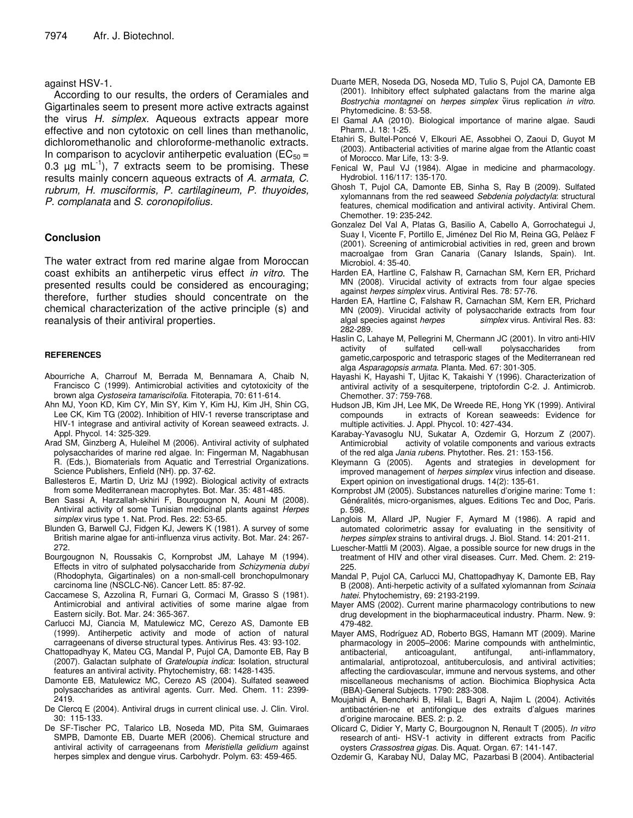#### against HSV-1.

According to our results, the orders of Ceramiales and Gigartinales seem to present more active extracts against the virus *H. simplex.* Aqueous extracts appear more effective and non cytotoxic on cell lines than methanolic, dichloromethanolic and chloroforme-methanolic extracts. In comparison to acyclovir antiherpetic evaluation ( $EC_{50}$  = 0.3  $\mu$ g mL<sup>-1</sup>), 7 extracts seem to be promising. These results mainly concern aqueous extracts of *A. armata, C. rubrum, H. musciformis, P. cartilagineum, P. thuyoides, P. complanata* and *S. coronopifolius.*

### **Conclusion**

The water extract from red marine algae from Moroccan coast exhibits an antiherpetic virus effect *in vitro*. The presented results could be considered as encouraging; therefore, further studies should concentrate on the chemical characterization of the active principle (s) and reanalysis of their antiviral properties.

#### **REFERENCES**

- Abourriche A, Charrouf M, Berrada M, Bennamara A, Chaib N, Francisco C (1999). Antimicrobial activities and cytotoxicity of the brown alga *Cystoseira tamariscifolia*. Fitoterapia, 70: 611-614.
- Ahn MJ, Yoon KD, Kim CY, Min SY, Kim Y, Kim HJ, Kim JH, Shin CG, Lee CK, Kim TG (2002). Inhibition of HIV-1 reverse transcriptase and HIV-1 integrase and antiviral activity of Korean seaweed extracts. J. Appl. Phycol. 14: 325-329.
- Arad SM, Ginzberg A, Huleihel M (2006). Antiviral activity of sulphated polysaccharides of marine red algae. In: Fingerman M, Nagabhusan R. (Eds.), Biomaterials from Aquatic and Terrestrial Organizations. Science Publishers, Enfield (NH). pp. 37-62.
- Ballesteros E, Martin D, Uriz MJ (1992). Biological activity of extracts from some Mediterranean macrophytes. Bot. Mar. 35: 481-485.
- Ben Sassi A, Harzallah-skhiri F, Bourgougnon N, Aouni M (2008). Antiviral activity of some Tunisian medicinal plants against *Herpes simplex* virus type 1. Nat. Prod. Res. 22: 53-65.
- Blunden G, Barwell CJ, Fidgen KJ, Jewers K (1981). A survey of some British marine algae for anti-influenza virus activity. Bot. Mar. 24: 267- 272.
- Bourgougnon N, Roussakis C, Kornprobst JM, Lahaye M (1994). Effects in vitro of sulphated polysaccharide from *Schizymenia dubyi* (Rhodophyta, Gigartinales) on a non-small-cell bronchopulmonary carcinoma line (NSCLC-N6). Cancer Lett. 85: 87-92.
- Caccamese S, Azzolina R, Furnari G, Cormaci M, Grasso S (1981). Antimicrobial and antiviral activities of some marine algae from Eastern sicily. Bot. Mar. 24: 365-367.
- Carlucci MJ, Ciancia M, Matulewicz MC, Cerezo AS, Damonte EB (1999). Antiherpetic activity and mode of action of natural carrageenans of diverse structural types. Antivirus Res. 43: 93-102.
- Chattopadhyay K, Mateu CG, Mandal P, Pujol CA, Damonte EB, Ray B (2007). Galactan sulphate of *Grateloupia indica*: Isolation, structural features an antiviral activity. Phytochemistry, 68: 1428-1435.
- Damonte EB, Matulewicz MC, Cerezo AS (2004). Sulfated seaweed polysaccharides as antiviral agents. Curr. Med. Chem. 11: 2399- 2419.
- De Clercq E (2004). Antiviral drugs in current clinical use. J. Clin. Virol. 30: 115-133.
- De SF-Tischer PC, Talarico LB, Noseda MD, Pita SM, Guimaraes SMPB, Damonte EB, Duarte MER (2006). Chemical structure and antiviral activity of carrageenans from *Meristiella gelidium* against herpes simplex and dengue virus. Carbohydr. Polym. 63: 459-465.
- Duarte MER, Noseda DG, Noseda MD, Tulio S, Pujol CA, Damonte EB (2001). Inhibitory effect sulphated galactans from the marine alga *Bostrychia montagnei* on *herpes simplex* virus replication *in vitro*. Phytomedicine. 8: 53-58.
- El Gamal AA (2010). Biological importance of marine algae. Saudi Pharm. J. 18: 1-25.
- Etahiri S, Bultel-Poncé V, Elkouri AE, Assobhei O, Zaoui D, Guyot M (2003). Antibacterial activities of marine algae from the Atlantic coast of Morocco. Mar Life, 13: 3-9.
- Fenical W, Paul VJ (1984). Algae in medicine and pharmacology. Hydrobiol. 116/117: 135-170.
- Ghosh T, Pujol CA, Damonte EB, Sinha S, Ray B (2009). Sulfated xylomannans from the red seaweed *Sebdenia polydactyla*: structural features, chemical modification and antiviral activity. Antiviral Chem. Chemother. 19: 235-242.
- Gonzalez Del Val A, Platas G, Basilio A, Cabello A, Gorrochategui J, Suay I, Vicente F, Portillo E, Jiménez Del Rio M, Reina GG, Pelàez F (2001). Screening of antimicrobial activities in red, green and brown macroalgae from Gran Canaria (Canary Islands, Spain). Int. Microbiol. 4: 35-40.
- Harden EA, Hartline C, Falshaw R, Carnachan SM, Kern ER, Prichard MN (2008). Virucidal activity of extracts from four algae species against *herpes simplex* virus. Antiviral Res. 78: 57-76.
- Harden EA, Hartline C, Falshaw R, Carnachan SM, Kern ER, Prichard MN (2009). Virucidal activity of polysaccharide extracts from four algal species against *herpes simplex* virus. Antiviral Res. 83: 282-289.
- Haslin C, Lahaye M, Pellegrini M, Chermann JC (2001). In vitro anti-HIV activity of sulfated cell-wall polysaccharides from gametic,carposporic and tetrasporic stages of the Mediterranean red alga *Asparagopsis armata*. Planta. Med. 67: 301-305.
- Hayashi K, Hayashi T, Ujitac K, Takaishi Y (1996). Characterization of antiviral activity of a sesquiterpene, triptofordin C-2. J. Antimicrob. Chemother. 37: 759-768.
- Hudson JB, Kim JH, Lee MK, De Wreede RE, Hong YK (1999). Antiviral compounds in extracts of Korean seaweeds: Evidence for multiple activities. J. Appl. Phycol. 10: 427-434.
- Karabay-Yavasoglu NU, Sukatar A, Ozdemir G, Horzum Z (2007). Antimicrobial activity of volatile components and various extracts of the red alga *Jania rubens*. Phytother. Res. 21: 153-156.
- Kleymann G (2005). Agents and strategies in development for improved management of *herpes simplex* virus infection and disease. Expert opinion on investigational drugs. 14(2): 135-61.
- Kornprobst JM (2005). Substances naturelles d'origine marine: Tome 1: Généralités, micro-organismes, algues. Editions Tec and Doc, Paris. p. 598.
- Langlois M, Allard JP, Nugier F, Aymard M (1986). A rapid and automated colorimetric assay for evaluating in the sensitivity of *herpes simplex* strains to antiviral drugs. J. Biol. Stand. 14: 201-211.
- Luescher-Mattli M (2003). Algae, a possible source for new drugs in the treatment of HIV and other viral diseases. Curr. Med. Chem. 2: 219- 225.
- Mandal P, Pujol CA, Carlucci MJ, Chattopadhyay K, Damonte EB, Ray B (2008). Anti-herpetic activity of a sulfated xylomannan from *Scinaia hatei*. Phytochemistry, 69: 2193-2199.
- Mayer AMS (2002). Current marine pharmacology contributions to new drug development in the biopharmaceutical industry. Pharm. New. 9: 479-482.
- Mayer AMS, Rodríguez AD, Roberto BGS, Hamann MT (2009). Marine pharmacology in 2005–2006: Marine compounds with anthelmintic, anticoagulant, antifungal, anti-inflammatory, antimalarial, antiprotozoal, antituberculosis, and antiviral activities; affecting the cardiovascular, immune and nervous systems, and other miscellaneous mechanisms of action. Biochimica Biophysica Acta (BBA)-General Subjects. 1790: 283-308.
- Moujahidi A, Bencharki B, Hilali L, Bagri A, Najim L (2004). Activités antibactérien-ne et antifongique des extraits d'algues marines d'origine marocaine. BES. 2: p. 2*.*
- Olicard C, Didier Y, Marty C, Bourgougnon N, Renault T (2005). *In vitro* research of anti- HSV-1 activity in different extracts from Pacific oysters *Crassostrea gigas*. Dis. Aquat. Organ*.* 67: 141-147.
- Ozdemir G, Karabay NU, Dalay MC, Pazarbasi B (2004). Antibacterial